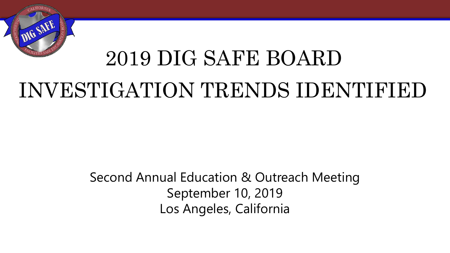

## 2019 DIG SAFE BOARD

#### INVESTIGATION TRENDS IDENTIFIED

Second Annual Education & Outreach Meeting September 10, 2019 Los Angeles, California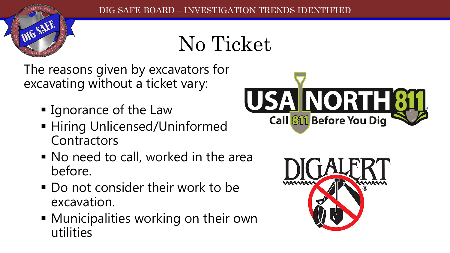## No Ticket

The reasons given by excavators for excavating without a ticket vary:

**Ignorance of the Law** 

- **Hiring Unlicensed/Uninformed Contractors**
- No need to call, worked in the area before.
- Do not consider their work to be excavation.
- **Municipalities working on their own** utilities



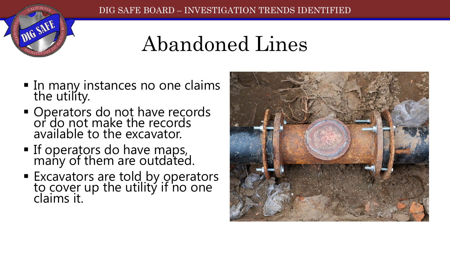### Abandoned Lines

**In many instances no one claims** the utility.

- **Operators do not have records** or do not make the records available to the excavator.
- If operators do have maps, many of them are outdated.
- Excavators are told by operators to cover up the utility if no one claims it.

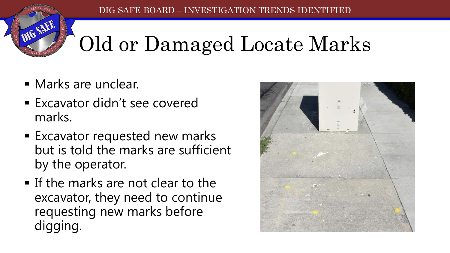DIG SAFE BOARD – INVESTIGATION TRENDS I

# Old or Damaged Locate Marks

**• Marks are unclear.** 

- Excavator didn't see covered marks.
- **Excavator requested new marks** but is told the marks are sufficient by the operator.
- If the marks are not clear to the excavator, they need to continue requesting new marks before digging.

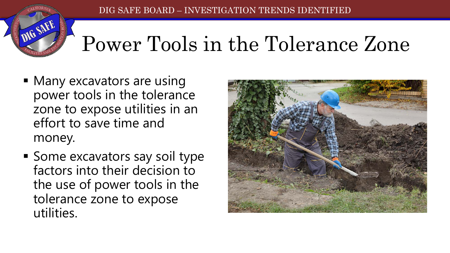## Power Tools in the Tolerance Zone

**Many excavators are using** power tools in the tolerance zone to expose utilities in an effort to save time and money.

DIG SAFE

**Some excavators say soil type** factors into their decision to the use of power tools in the tolerance zone to expose utilities.